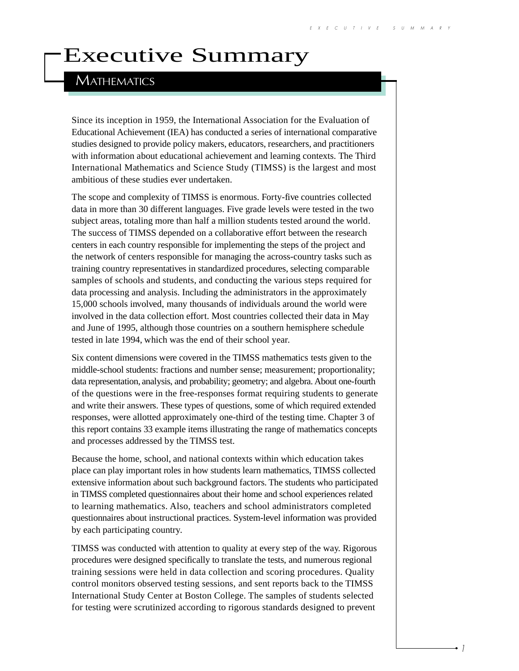# Executive Summary

## **MATHEMATICS**

Since its inception in 1959, the International Association for the Evaluation of Educational Achievement (IEA) has conducted a series of international comparative studies designed to provide policy makers, educators, researchers, and practitioners with information about educational achievement and learning contexts. The Third International Mathematics and Science Study (TIMSS) is the largest and most ambitious of these studies ever undertaken.

The scope and complexity of TIMSS is enormous. Forty-five countries collected data in more than 30 different languages. Five grade levels were tested in the two subject areas, totaling more than half a million students tested around the world. The success of TIMSS depended on a collaborative effort between the research centers in each country responsible for implementing the steps of the project and the network of centers responsible for managing the across-country tasks such as training country representatives in standardized procedures, selecting comparable samples of schools and students, and conducting the various steps required for data processing and analysis. Including the administrators in the approximately 15,000 schools involved, many thousands of individuals around the world were involved in the data collection effort. Most countries collected their data in May and June of 1995, although those countries on a southern hemisphere schedule tested in late 1994, which was the end of their school year.

Six content dimensions were covered in the TIMSS mathematics tests given to the middle-school students: fractions and number sense; measurement; proportionality; data representation, analysis, and probability; geometry; and algebra. About one-fourth of the questions were in the free-responses format requiring students to generate and write their answers. These types of questions, some of which required extended responses, were allotted approximately one-third of the testing time. Chapter 3 of this report contains 33 example items illustrating the range of mathematics concepts and processes addressed by the TIMSS test.

Because the home, school, and national contexts within which education takes place can play important roles in how students learn mathematics, TIMSS collected extensive information about such background factors. The students who participated in TIMSS completed questionnaires about their home and school experiences related to learning mathematics. Also, teachers and school administrators completed questionnaires about instructional practices. System-level information was provided by each participating country.

TIMSS was conducted with attention to quality at every step of the way. Rigorous procedures were designed specifically to translate the tests, and numerous regional training sessions were held in data collection and scoring procedures. Quality control monitors observed testing sessions, and sent reports back to the TIMSS International Study Center at Boston College. The samples of students selected for testing were scrutinized according to rigorous standards designed to prevent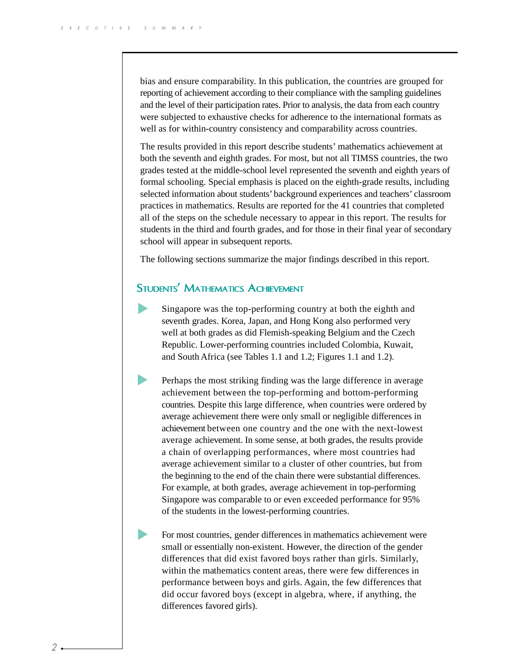bias and ensure comparability. In this publication, the countries are grouped for reporting of achievement according to their compliance with the sampling guidelines and the level of their participation rates. Prior to analysis, the data from each country were subjected to exhaustive checks for adherence to the international formats as well as for within-country consistency and comparability across countries.

The results provided in this report describe students' mathematics achievement at both the seventh and eighth grades. For most, but not all TIMSS countries, the two grades tested at the middle-school level represented the seventh and eighth years of formal schooling. Special emphasis is placed on the eighth-grade results, including selected information about students' background experiences and teachers' classroom practices in mathematics. Results are reported for the 41 countries that completed all of the steps on the schedule necessary to appear in this report. The results for students in the third and fourth grades, and for those in their final year of secondary school will appear in subsequent reports.

The following sections summarize the major findings described in this report.

### STUDENTS' MATHEMATICS ACHIEVEMENT

- Singapore was the top-performing country at both the eighth and seventh grades. Korea, Japan, and Hong Kong also performed very well at both grades as did Flemish-speaking Belgium and the Czech Republic. Lower-performing countries included Colombia, Kuwait, and South Africa (see Tables 1.1 and 1.2; Figures 1.1 and 1.2).
	- Perhaps the most striking finding was the large difference in average achievement between the top-performing and bottom-performing countries. Despite this large difference, when countries were ordered by average achievement there were only small or negligible differences in achievement between one country and the one with the next-lowest average achievement. In some sense, at both grades, the results provide a chain of overlapping performances, where most countries had average achievement similar to a cluster of other countries, but from the beginning to the end of the chain there were substantial differences. For example, at both grades, average achievement in top-performing Singapore was comparable to or even exceeded performance for 95% of the students in the lowest-performing countries.
	- For most countries, gender differences in mathematics achievement were small or essentially non-existent. However, the direction of the gender differences that did exist favored boys rather than girls. Similarly, within the mathematics content areas, there were few differences in performance between boys and girls. Again, the few differences that did occur favored boys (except in algebra, where, if anything, the differences favored girls).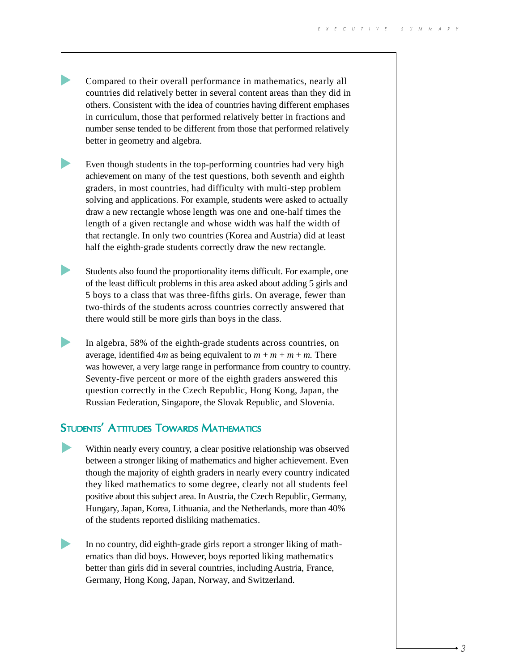- Compared to their overall performance in mathematics, nearly all countries did relatively better in several content areas than they did in others. Consistent with the idea of countries having different emphases in curriculum, those that performed relatively better in fractions and number sense tended to be different from those that performed relatively better in geometry and algebra.
- Even though students in the top-performing countries had very high achievement on many of the test questions, both seventh and eighth graders, in most countries, had difficulty with multi-step problem solving and applications. For example, students were asked to actually draw a new rectangle whose length was one and one-half times the length of a given rectangle and whose width was half the width of that rectangle. In only two countries (Korea and Austria) did at least half the eighth-grade students correctly draw the new rectangle.
- Students also found the proportionality items difficult. For example, one of the least difficult problems in this area asked about adding 5 girls and 5 boys to a class that was three-fifths girls. On average, fewer than two-thirds of the students across countries correctly answered that there would still be more girls than boys in the class.
- In algebra, 58% of the eighth-grade students across countries, on average, identified  $4m$  as being equivalent to  $m + m + m$ . There was however, a very large range in performance from country to country. Seventy-five percent or more of the eighth graders answered this question correctly in the Czech Republic, Hong Kong, Japan, the Russian Federation, Singapore, the Slovak Republic, and Slovenia.

### STUDENTS' ATTITUDES TOWARDS MATHEMATICS

- Within nearly every country, a clear positive relationship was observed between a stronger liking of mathematics and higher achievement. Even though the majority of eighth graders in nearly every country indicated they liked mathematics to some degree, clearly not all students feel positive about this subject area. In Austria, the Czech Republic, Germany, Hungary, Japan, Korea, Lithuania, and the Netherlands, more than 40% of the students reported disliking mathematics.
- In no country, did eighth-grade girls report a stronger liking of mathematics than did boys. However, boys reported liking mathematics better than girls did in several countries, including Austria, France, Germany, Hong Kong, Japan, Norway, and Switzerland.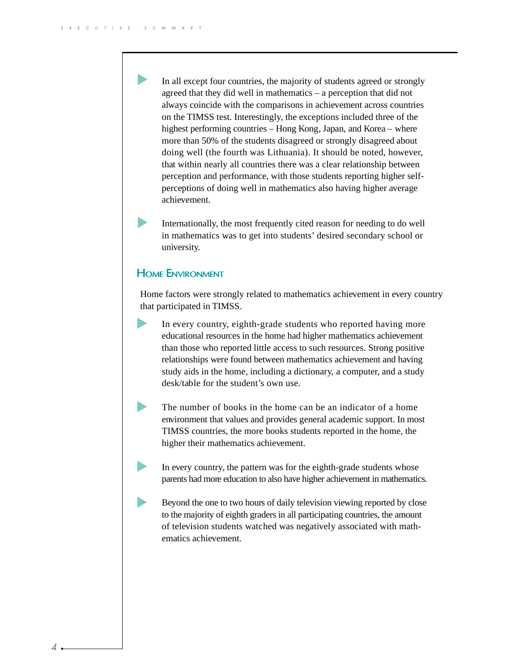In all except four countries, the majority of students agreed or strongly agreed that they did well in mathematics – a perception that did not always coincide with the comparisons in achievement across countries on the TIMSS test. Interestingly, the exceptions included three of the highest performing countries – Hong Kong, Japan, and Korea – where more than 50% of the students disagreed or strongly disagreed about doing well (the fourth was Lithuania). It should be noted, however, that within nearly all countries there was a clear relationship between perception and performance, with those students reporting higher selfperceptions of doing well in mathematics also having higher average achievement.

Internationally, the most frequently cited reason for needing to do well in mathematics was to get into students' desired secondary school or university.

#### HOME ENVIRONMENT

Home factors were strongly related to mathematics achievement in every country that participated in TIMSS.

In every country, eighth-grade students who reported having more educational resources in the home had higher mathematics achievement than those who reported little access to such resources. Strong positive relationships were found between mathematics achievement and having study aids in the home, including a dictionary, a computer, and a study desk/table for the student's own use.

- The number of books in the home can be an indicator of a home environment that values and provides general academic support. In most TIMSS countries, the more books students reported in the home, the higher their mathematics achievement.
- In every country, the pattern was for the eighth-grade students whose parents had more education to also have higher achievement in mathematics.
- Beyond the one to two hours of daily television viewing reported by close to the majority of eighth graders in all participating countries, the amount of television students watched was negatively associated with mathematics achievement.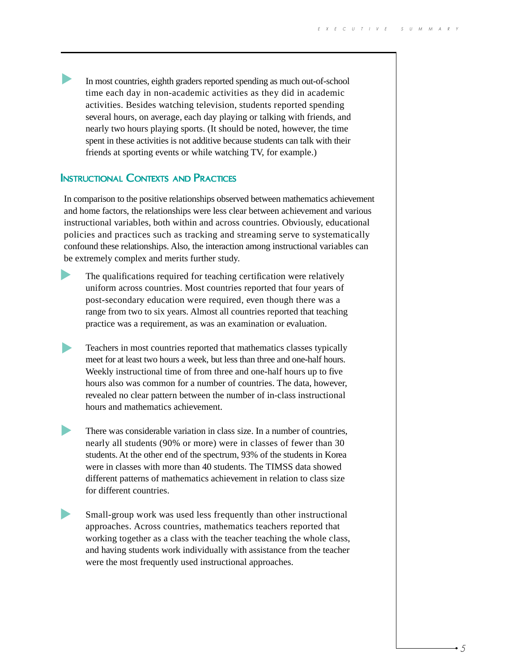In most countries, eighth graders reported spending as much out-of-school time each day in non-academic activities as they did in academic activities. Besides watching television, students reported spending several hours, on average, each day playing or talking with friends, and nearly two hours playing sports. (It should be noted, however, the time spent in these activities is not additive because students can talk with their friends at sporting events or while watching TV, for example.)

#### **INSTRUCTIONAL CONTEXTS AND PRACTICES**

In comparison to the positive relationships observed between mathematics achievement and home factors, the relationships were less clear between achievement and various instructional variables, both within and across countries. Obviously, educational policies and practices such as tracking and streaming serve to systematically confound these relationships. Also, the interaction among instructional variables can be extremely complex and merits further study.



The qualifications required for teaching certification were relatively uniform across countries. Most countries reported that four years of post-secondary education were required, even though there was a range from two to six years. Almost all countries reported that teaching practice was a requirement, as was an examination or evaluation.

- $\blacktriangleright$ Teachers in most countries reported that mathematics classes typically meet for at least two hours a week, but less than three and one-half hours. Weekly instructional time of from three and one-half hours up to five hours also was common for a number of countries. The data, however, revealed no clear pattern between the number of in-class instructional hours and mathematics achievement.
	- There was considerable variation in class size. In a number of countries, nearly all students (90% or more) were in classes of fewer than 30 students. At the other end of the spectrum, 93% of the students in Korea were in classes with more than 40 students. The TIMSS data showed different patterns of mathematics achievement in relation to class size for different countries.
- Small-group work was used less frequently than other instructional approaches. Across countries, mathematics teachers reported that working together as a class with the teacher teaching the whole class, and having students work individually with assistance from the teacher were the most frequently used instructional approaches.